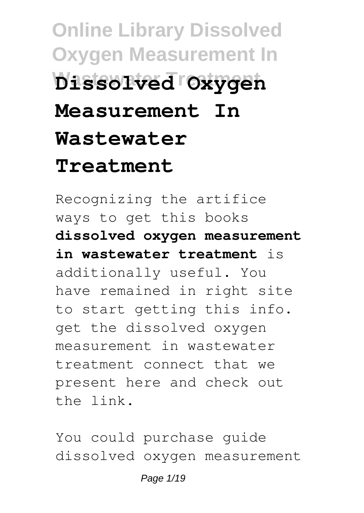# **Online Library Dissolved Oxygen Measurement In Wastewater Treatment Dissolved Oxygen Measurement In Wastewater Treatment**

Recognizing the artifice ways to get this books **dissolved oxygen measurement in wastewater treatment** is additionally useful. You have remained in right site to start getting this info. get the dissolved oxygen measurement in wastewater treatment connect that we present here and check out the link.

You could purchase guide dissolved oxygen measurement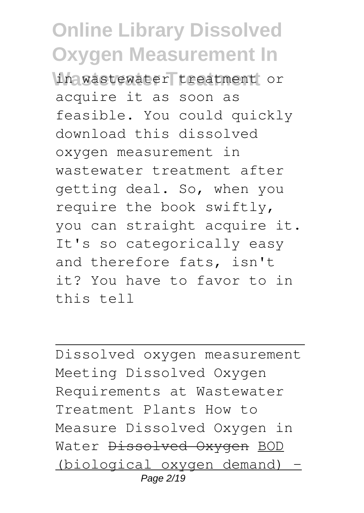**Whawastewater treatment** or acquire it as soon as feasible. You could quickly download this dissolved oxygen measurement in wastewater treatment after getting deal. So, when you require the book swiftly, you can straight acquire it. It's so categorically easy and therefore fats, isn't it? You have to favor to in this tell

Dissolved oxygen measurement Meeting Dissolved Oxygen Requirements at Wastewater Treatment Plants How to Measure Dissolved Oxygen in Water Dissolved Oxygen BOD (biological oxygen demand) - Page 2/19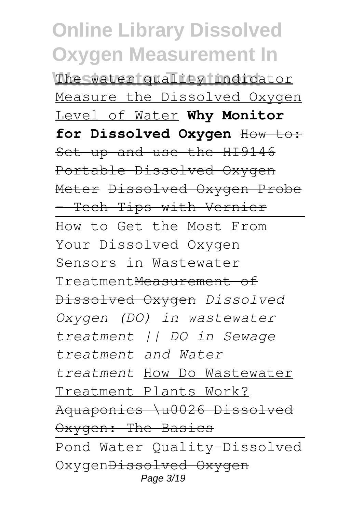**Online Library Dissolved Oxygen Measurement In The water quality indicator** Measure the Dissolved Oxygen Level of Water **Why Monitor** for Dissolved Oxygen How to: Set up and use the HI9146 Portable Dissolved Oxygen Meter Dissolved Oxygen Probe - Tech Tips with Vernier How to Get the Most From Your Dissolved Oxygen Sensors in Wastewater TreatmentMeasurement of Dissolved Oxygen *Dissolved Oxygen (DO) in wastewater treatment || DO in Sewage treatment and Water treatment* How Do Wastewater Treatment Plants Work? Aquaponics \u0026 Dissolved Oxygen: The Basics Pond Water Quality-Dissolved OxygenDissolved Oxygen Page 3/19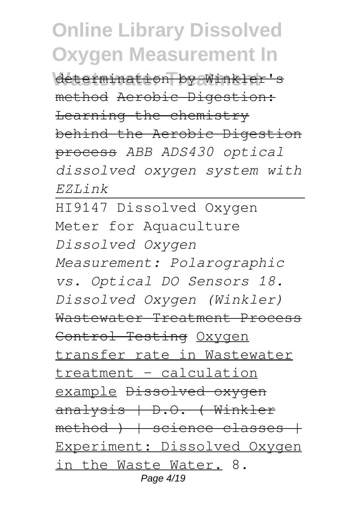Wetermination by Winkler's method Aerobic Digestion: Learning the chemistry behind the Aerobic Digestion process *ABB ADS430 optical dissolved oxygen system with EZLink*

HI9147 Dissolved Oxygen Meter for Aquaculture *Dissolved Oxygen Measurement: Polarographic vs. Optical DO Sensors 18. Dissolved Oxygen (Winkler)* Wastewater Treatment Process Control Testing Oxygen transfer rate in Wastewater treatment - calculation example Dissolved oxygen analysis | D.O. ( Winkler  $method$  )  $|$  science classes  $|$ Experiment: Dissolved Oxygen in the Waste Water. 8. Page 4/19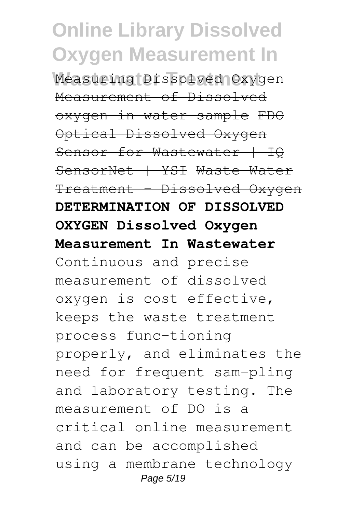Measuring Dissolved Oxygen Measurement of Dissolved oxygen in water sample FDO Optical Dissolved Oxygen Sensor for Wastewater | IO SensorNet | YSI Waste Water Treatment - Dissolved Oxygen **DETERMINATION OF DISSOLVED OXYGEN Dissolved Oxygen Measurement In Wastewater** Continuous and precise measurement of dissolved oxygen is cost effective, keeps the waste treatment process func-tioning properly, and eliminates the need for frequent sam-pling and laboratory testing. The measurement of DO is a critical online measurement and can be accomplished using a membrane technology Page 5/19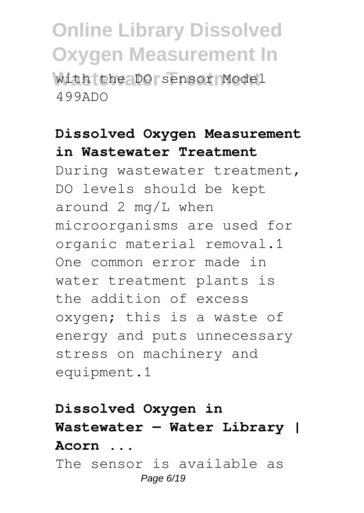with the DO sensor Model 499ADO

#### **Dissolved Oxygen Measurement in Wastewater Treatment**

During wastewater treatment, DO levels should be kept around 2 mg/L when microorganisms are used for organic material removal.1 One common error made in water treatment plants is the addition of excess oxygen; this is a waste of energy and puts unnecessary stress on machinery and equipment.1

### **Dissolved Oxygen in Wastewater — Water Library | Acorn ...** The sensor is available as

Page 6/19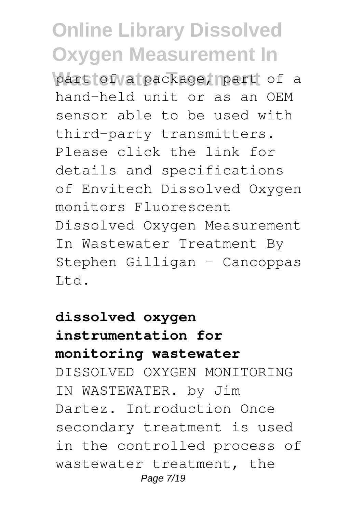part fof valuackage, part of a hand-held unit or as an OEM sensor able to be used with third-party transmitters. Please click the link for details and specifications of Envitech Dissolved Oxygen monitors Fluorescent Dissolved Oxygen Measurement In Wastewater Treatment By Stephen Gilligan – Cancoppas Ltd.

### **dissolved oxygen instrumentation for monitoring wastewater** DISSOLVED OXYGEN MONITORING IN WASTEWATER. by Jim Dartez. Introduction Once secondary treatment is used in the controlled process of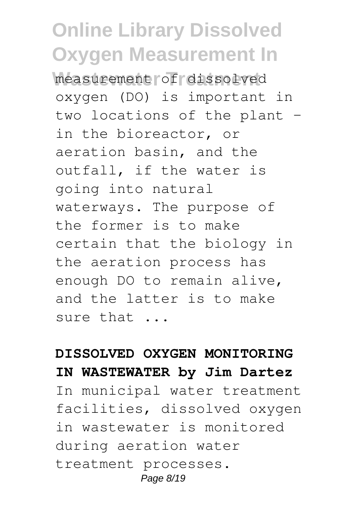measurement of dissolved oxygen (DO) is important in two locations of the plant – in the bioreactor, or aeration basin, and the outfall, if the water is going into natural waterways. The purpose of the former is to make certain that the biology in the aeration process has enough DO to remain alive, and the latter is to make sure that ...

#### **DISSOLVED OXYGEN MONITORING IN WASTEWATER by Jim Dartez**

In municipal water treatment facilities, dissolved oxygen in wastewater is monitored during aeration water treatment processes. Page 8/19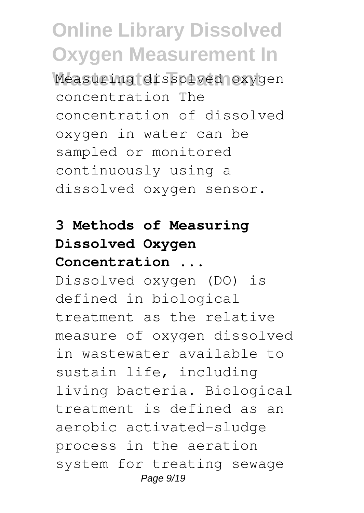**Wastewater Treatment** Measuring dissolved oxygen concentration The concentration of dissolved oxygen in water can be sampled or monitored continuously using a dissolved oxygen sensor.

### **3 Methods of Measuring Dissolved Oxygen Concentration ...**

Dissolved oxygen (DO) is defined in biological treatment as the relative measure of oxygen dissolved in wastewater available to sustain life, including living bacteria. Biological treatment is defined as an aerobic activated-sludge process in the aeration system for treating sewage Page  $9/19$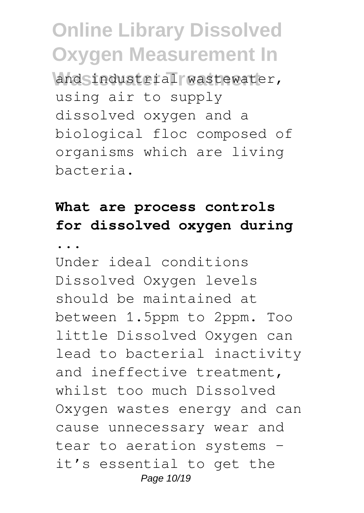and industrial wastewater, using air to supply dissolved oxygen and a biological floc composed of organisms which are living bacteria.

#### **What are process controls for dissolved oxygen during**

**...**

Under ideal conditions Dissolved Oxygen levels should be maintained at between 1.5ppm to 2ppm. Too little Dissolved Oxygen can lead to bacterial inactivity and ineffective treatment, whilst too much Dissolved Oxygen wastes energy and can cause unnecessary wear and tear to aeration systems – it's essential to get the Page 10/19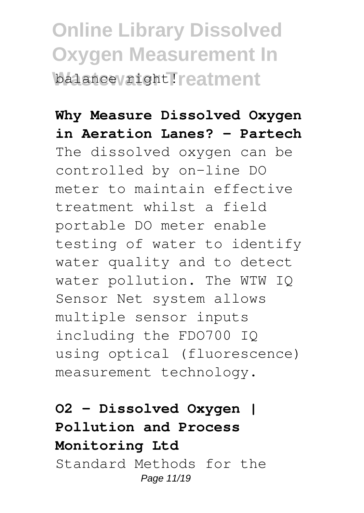**Online Library Dissolved Oxygen Measurement In Walance variant Treatment** 

#### **Why Measure Dissolved Oxygen in Aeration Lanes? - Partech**

The dissolved oxygen can be controlled by on-line DO meter to maintain effective treatment whilst a field portable DO meter enable testing of water to identify water quality and to detect water pollution. The WTW IQ Sensor Net system allows multiple sensor inputs including the FDO700 IQ using optical (fluorescence) measurement technology.

### **O2 - Dissolved Oxygen | Pollution and Process Monitoring Ltd**

Standard Methods for the Page 11/19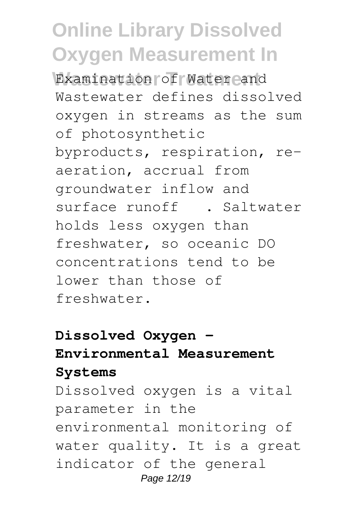Examination of Water and Wastewater defines dissolved oxygen in streams as the sum of photosynthetic byproducts, respiration, reaeration, accrual from groundwater inflow and surface runoff<sup>13</sup>. Saltwater holds less oxygen than freshwater, so oceanic DO concentrations tend to be lower than those of freshwater.

### **Dissolved Oxygen - Environmental Measurement Systems**

Dissolved oxygen is a vital parameter in the environmental monitoring of water quality. It is a great indicator of the general Page 12/19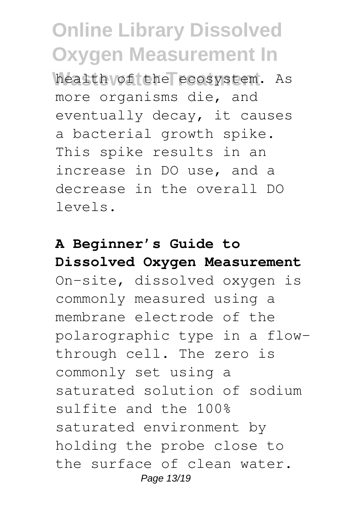health of the ecosystem. As more organisms die, and eventually decay, it causes a bacterial growth spike. This spike results in an increase in DO use, and a decrease in the overall DO levels.

### **A Beginner's Guide to Dissolved Oxygen Measurement**

On-site, dissolved oxygen is commonly measured using a membrane electrode of the polarographic type in a flowthrough cell. The zero is commonly set using a saturated solution of sodium sulfite and the 100% saturated environment by holding the probe close to the surface of clean water. Page 13/19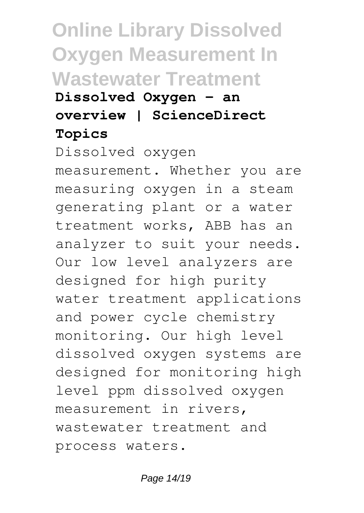### **Online Library Dissolved Oxygen Measurement In Wastewater Treatment Dissolved Oxygen - an overview | ScienceDirect Topics**

Dissolved oxygen measurement. Whether you are measuring oxygen in a steam generating plant or a water treatment works, ABB has an analyzer to suit your needs. Our low level analyzers are designed for high purity water treatment applications and power cycle chemistry monitoring. Our high level dissolved oxygen systems are designed for monitoring high level ppm dissolved oxygen measurement in rivers, wastewater treatment and process waters.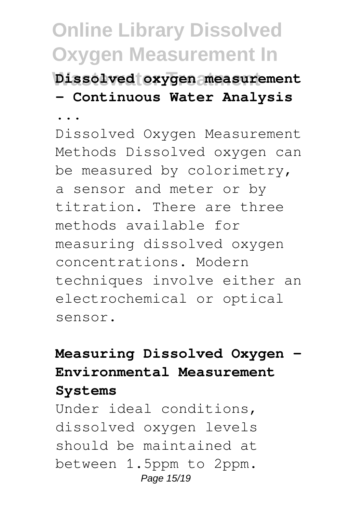**Wastewater Treatment Dissolved oxygen measurement - Continuous Water Analysis**

**...** Dissolved Oxygen Measurement Methods Dissolved oxygen can be measured by colorimetry, a sensor and meter or by titration. There are three methods available for measuring dissolved oxygen concentrations. Modern techniques involve either an electrochemical or optical sensor.

#### **Measuring Dissolved Oxygen - Environmental Measurement Systems**

Under ideal conditions, dissolved oxygen levels should be maintained at between 1.5ppm to 2ppm. Page 15/19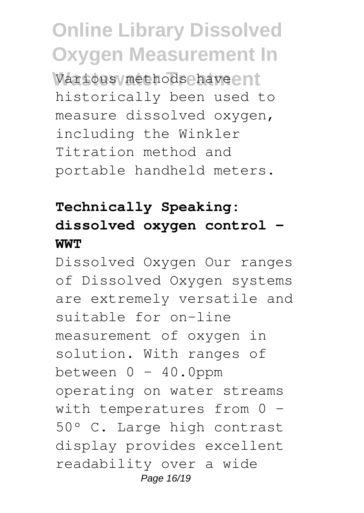Various methods have ent historically been used to measure dissolved oxygen, including the Winkler Titration method and portable handheld meters.

### **Technically Speaking: dissolved oxygen control - WWT**

Dissolved Oxygen Our ranges of Dissolved Oxygen systems are extremely versatile and suitable for on-line measurement of oxygen in solution. With ranges of between  $0 - 40.0$ ppm operating on water streams with temperatures from 0 -50º C. Large high contrast display provides excellent readability over a wide Page 16/19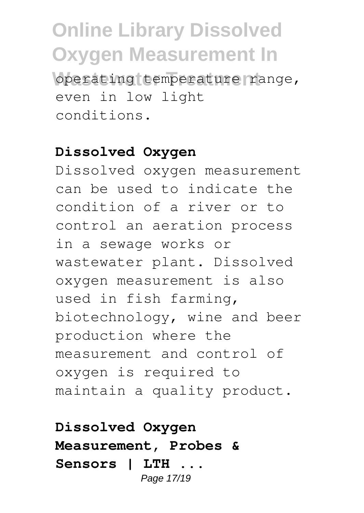**Online Library Dissolved Oxygen Measurement In** operating temperature range,

even in low light conditions.

#### **Dissolved Oxygen**

Dissolved oxygen measurement can be used to indicate the condition of a river or to control an aeration process in a sewage works or wastewater plant. Dissolved oxygen measurement is also used in fish farming, biotechnology, wine and beer production where the measurement and control of oxygen is required to maintain a quality product.

**Dissolved Oxygen Measurement, Probes & Sensors | LTH ...** Page 17/19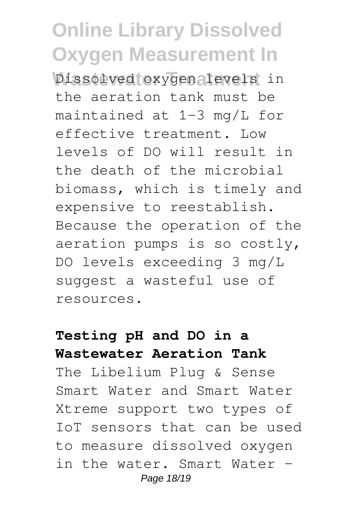**Dissolved** oxygen levels in the aeration tank must be maintained at 1-3 mg/L for effective treatment. Low levels of DO will result in the death of the microbial biomass, which is timely and expensive to reestablish. Because the operation of the aeration pumps is so costly, DO levels exceeding 3 mg/L suggest a wasteful use of resources.

#### **Testing pH and DO in a Wastewater Aeration Tank**

The Libelium Plug & Sense Smart Water and Smart Water Xtreme support two types of IoT sensors that can be used to measure dissolved oxygen in the water. Smart Water – Page 18/19